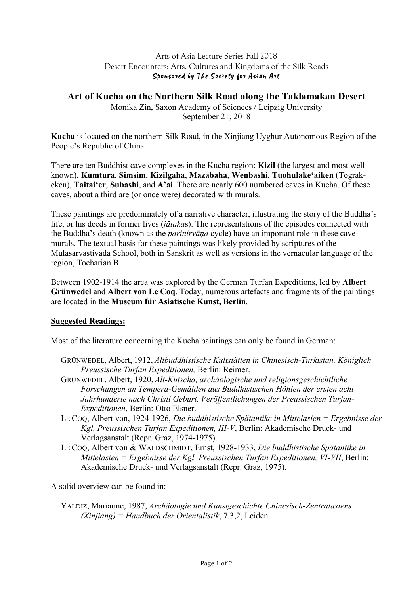## Arts of Asia Lecture Series Fall 2018 Desert Encounters: Arts, Cultures and Kingdoms of the Silk Roads Sponsored by The Society for Asian Art

## **Art of Kucha on the Northern Silk Road along the Taklamakan Desert**

Monika Zin, Saxon Academy of Sciences / Leipzig University September 21, 2018

**Kucha** is located on the northern Silk Road, in the Xinjiang Uyghur Autonomous Region of the People's Republic of China.

There are ten Buddhist cave complexes in the Kucha region: **Kizil** (the largest and most wellknown), **Kumtura**, **Simsim**, **Kizilgaha**, **Mazabaha**, **Wenbashi**, **Tuohulake'aiken** (Tograkeken), **Taitai'er**, **Subashi**, and **A'ai**. There are nearly 600 numbered caves in Kucha. Of these caves, about a third are (or once were) decorated with murals.

These paintings are predominately of a narrative character, illustrating the story of the Buddha's life, or his deeds in former lives (*jātaka*s). The representations of the episodes connected with the Buddha's death (known as the *parinirvāṇa* cycle) have an important role in these cave murals. The textual basis for these paintings was likely provided by scriptures of the Mūlasarvāstivāda School, both in Sanskrit as well as versions in the vernacular language of the region, Tocharian B.

Between 1902-1914 the area was explored by the German Turfan Expeditions, led by **Albert Grünwedel** and **Albert von Le Coq**. Today, numerous artefacts and fragments of the paintings are located in the **Museum für Asiatische Kunst, Berlin**.

## **Suggested Readings:**

Most of the literature concerning the Kucha paintings can only be found in German:

- GRÜNWEDEL, Albert, 1912, *Altbuddhistische Kultstätten in Chinesisch-Turkistan, Königlich Preussische Turfan Expeditionen,* Berlin: Reimer.
- GRÜNWEDEL, Albert, 1920, *Alt-Kutscha, archäologische und religionsgeschichtliche Forschungen an Tempera-Gemälden aus Buddhistischen Höhlen der ersten acht Jahrhunderte nach Christi Geburt, Veröffentlichungen der Preussischen Turfan-Expeditionen*, Berlin: Otto Elsner.
- LE COQ, Albert von, 1924-1926, *Die buddhistische Spätantike in Mittelasien = Ergebnisse der Kgl. Preussischen Turfan Expeditionen, III-V*, Berlin: Akademische Druck- und Verlagsanstalt (Repr. Graz, 1974-1975).
- LE COQ, Albert von & WALDSCHMIDT, Ernst, 1928-1933, *Die buddhistische Spätantike in Mittelasien = Ergebnisse der Kgl. Preussischen Turfan Expeditionen, VI-VII*, Berlin: Akademische Druck- und Verlagsanstalt (Repr. Graz, 1975).

A solid overview can be found in:

YALDIZ, Marianne, 1987, *Archäologie und Kunstgeschichte Chinesisch-Zentralasiens (Xinjiang) = Handbuch der Orientalistik*, 7.3,2, Leiden.